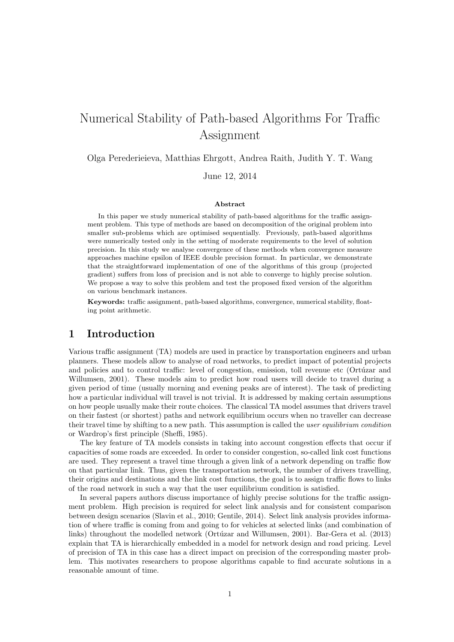# Numerical Stability of Path-based Algorithms For Traffic Assignment

Olga Perederieieva, Matthias Ehrgott, Andrea Raith, Judith Y. T. Wang

June 12, 2014

#### Abstract

In this paper we study numerical stability of path-based algorithms for the traffic assignment problem. This type of methods are based on decomposition of the original problem into smaller sub-problems which are optimised sequentially. Previously, path-based algorithms were numerically tested only in the setting of moderate requirements to the level of solution precision. In this study we analyse convergence of these methods when convergence measure approaches machine epsilon of IEEE double precision format. In particular, we demonstrate that the straightforward implementation of one of the algorithms of this group (projected gradient) suffers from loss of precision and is not able to converge to highly precise solution. We propose a way to solve this problem and test the proposed fixed version of the algorithm on various benchmark instances.

Keywords: traffic assignment, path-based algorithms, convergence, numerical stability, floating point arithmetic.

## 1 Introduction

Various traffic assignment (TA) models are used in practice by transportation engineers and urban planners. These models allow to analyse of road networks, to predict impact of potential projects and policies and to control traffic: level of congestion, emission, toll revenue etc (Ortúzar and Willumsen, 2001). These models aim to predict how road users will decide to travel during a given period of time (usually morning and evening peaks are of interest). The task of predicting how a particular individual will travel is not trivial. It is addressed by making certain assumptions on how people usually make their route choices. The classical TA model assumes that drivers travel on their fastest (or shortest) paths and network equilibrium occurs when no traveller can decrease their travel time by shifting to a new path. This assumption is called the user equilibrium condition or Wardrop's first principle (Sheffi, 1985).

The key feature of TA models consists in taking into account congestion effects that occur if capacities of some roads are exceeded. In order to consider congestion, so-called link cost functions are used. They represent a travel time through a given link of a network depending on traffic flow on that particular link. Thus, given the transportation network, the number of drivers travelling, their origins and destinations and the link cost functions, the goal is to assign traffic flows to links of the road network in such a way that the user equilibrium condition is satisfied.

In several papers authors discuss importance of highly precise solutions for the traffic assignment problem. High precision is required for select link analysis and for consistent comparison between design scenarios (Slavin et al., 2010; Gentile, 2014). Select link analysis provides information of where traffic is coming from and going to for vehicles at selected links (and combination of links) throughout the modelled network (Ortúzar and Willumsen, 2001). Bar-Gera et al. (2013) explain that TA is hierarchically embedded in a model for network design and road pricing. Level of precision of TA in this case has a direct impact on precision of the corresponding master problem. This motivates researchers to propose algorithms capable to find accurate solutions in a reasonable amount of time.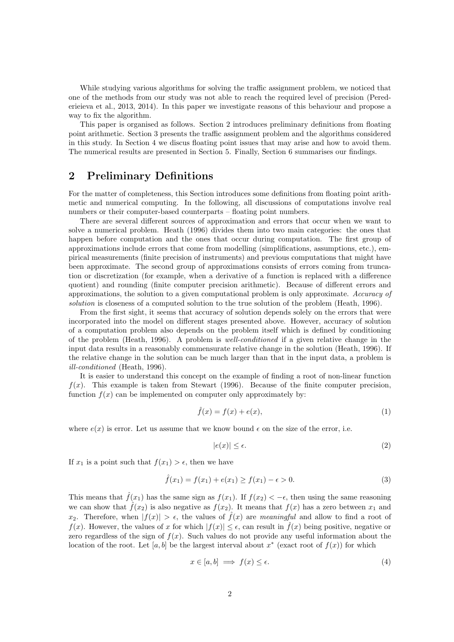While studying various algorithms for solving the traffic assignment problem, we noticed that one of the methods from our study was not able to reach the required level of precision (Perederieieva et al., 2013, 2014). In this paper we investigate reasons of this behaviour and propose a way to fix the algorithm.

This paper is organised as follows. Section 2 introduces preliminary definitions from floating point arithmetic. Section 3 presents the traffic assignment problem and the algorithms considered in this study. In Section 4 we discus floating point issues that may arise and how to avoid them. The numerical results are presented in Section 5. Finally, Section 6 summarises our findings.

## 2 Preliminary Definitions

For the matter of completeness, this Section introduces some definitions from floating point arithmetic and numerical computing. In the following, all discussions of computations involve real numbers or their computer-based counterparts – floating point numbers.

There are several different sources of approximation and errors that occur when we want to solve a numerical problem. Heath (1996) divides them into two main categories: the ones that happen before computation and the ones that occur during computation. The first group of approximations include errors that come from modelling (simplifications, assumptions, etc.), empirical measurements (finite precision of instruments) and previous computations that might have been approximate. The second group of approximations consists of errors coming from truncation or discretization (for example, when a derivative of a function is replaced with a difference quotient) and rounding (finite computer precision arithmetic). Because of different errors and approximations, the solution to a given computational problem is only approximate. Accuracy of solution is closeness of a computed solution to the true solution of the problem (Heath, 1996).

From the first sight, it seems that accuracy of solution depends solely on the errors that were incorporated into the model on different stages presented above. However, accuracy of solution of a computation problem also depends on the problem itself which is defined by conditioning of the problem (Heath, 1996). A problem is well-conditioned if a given relative change in the input data results in a reasonably commensurate relative change in the solution (Heath, 1996). If the relative change in the solution can be much larger than that in the input data, a problem is ill-conditioned (Heath, 1996).

It is easier to understand this concept on the example of finding a root of non-linear function  $f(x)$ . This example is taken from Stewart (1996). Because of the finite computer precision, function  $f(x)$  can be implemented on computer only approximately by:

$$
\hat{f}(x) = f(x) + e(x),\tag{1}
$$

where  $e(x)$  is error. Let us assume that we know bound  $\epsilon$  on the size of the error, i.e.

$$
|e(x)| \le \epsilon. \tag{2}
$$

If  $x_1$  is a point such that  $f(x_1) > \epsilon$ , then we have

$$
\hat{f}(x_1) = f(x_1) + e(x_1) \ge f(x_1) - \epsilon > 0.
$$
\n(3)

This means that  $\hat{f}(x_1)$  has the same sign as  $f(x_1)$ . If  $f(x_2) < -\epsilon$ , then using the same reasoning we can show that  $\hat{f}(x_2)$  is also negative as  $f(x_2)$ . It means that  $f(x)$  has a zero between  $x_1$  and  $x_2$ . Therefore, when  $|f(x)| > \epsilon$ , the values of  $\hat{f}(x)$  are meaningful and allow to find a root of  $f(x)$ . However, the values of x for which  $|f(x)| \leq \epsilon$ , can result in  $\hat{f}(x)$  being positive, negative or zero regardless of the sign of  $f(x)$ . Such values do not provide any useful information about the location of the root. Let [a, b] be the largest interval about  $x^*$  (exact root of  $f(x)$ ) for which

$$
x \in [a, b] \implies f(x) \le \epsilon. \tag{4}
$$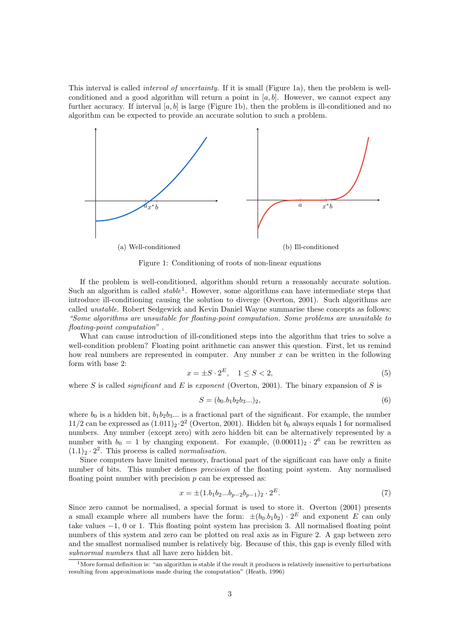This interval is called interval of uncertainty. If it is small (Figure 1a), then the problem is wellconditioned and a good algorithm will return a point in  $[a, b]$ . However, we cannot expect any further accuracy. If interval  $[a, b]$  is large (Figure 1b), then the problem is ill-conditioned and no algorithm can be expected to provide an accurate solution to such a problem.



Figure 1: Conditioning of roots of non-linear equations

If the problem is well-conditioned, algorithm should return a reasonably accurate solution. Such an algorithm is called  $stable<sup>1</sup>$ . However, some algorithms can have intermediate steps that introduce ill-conditioning causing the solution to diverge (Overton, 2001). Such algorithms are called unstable. Robert Sedgewick and Kevin Daniel Wayne summarise these concepts as follows: "Some algorithms are unsuitable for floating-point computation. Some problems are unsuitable to floating-point computation" .

What can cause introduction of ill-conditioned steps into the algorithm that tries to solve a well-condition problem? Floating point arithmetic can answer this question. First, let us remind how real numbers are represented in computer. Any number  $x$  can be written in the following form with base 2:

$$
x = \pm S \cdot 2^E, \quad 1 \le S < 2,\tag{5}
$$

where S is called *significant* and E is exponent (Overton, 2001). The binary expansion of S is

$$
S = (b_0.b_1b_2b_3...)_2,
$$
\n(6)

where  $b_0$  is a hidden bit,  $b_1b_2b_3...$  is a fractional part of the significant. For example, the number 11/2 can be expressed as  $(1.011)_2 \cdot 2^2$  (Overton, 2001). Hidden bit  $b_0$  always equals 1 for normalised numbers. Any number (except zero) with zero hidden bit can be alternatively represented by a number with  $b_0 = 1$  by changing exponent. For example,  $(0.00011)_2 \cdot 2^6$  can be rewritten as  $(1.1)<sub>2</sub> \cdot 2<sup>2</sup>$ . This process is called *normalisation*.

Since computers have limited memory, fractional part of the significant can have only a finite number of bits. This number defines precision of the floating point system. Any normalised floating point number with precision  $p$  can be expressed as:

$$
x = \pm (1.b_1b_2...b_{p-2}b_{p-1})_2 \cdot 2^E. \tag{7}
$$

Since zero cannot be normalised, a special format is used to store it. Overton (2001) presents a small example where all numbers have the form:  $\pm (b_0.b_1b_2) \cdot 2^E$  and exponent E can only take values −1, 0 or 1. This floating point system has precision 3. All normalised floating point numbers of this system and zero can be plotted on real axis as in Figure 2. A gap between zero and the smallest normalised number is relatively big. Because of this, this gap is evenly filled with subnormal numbers that all have zero hidden bit.

<sup>&</sup>lt;sup>1</sup>More formal definition is: "an algorithm is stable if the result it produces is relatively insensitive to perturbations resulting from approximations made during the computation" (Heath, 1996)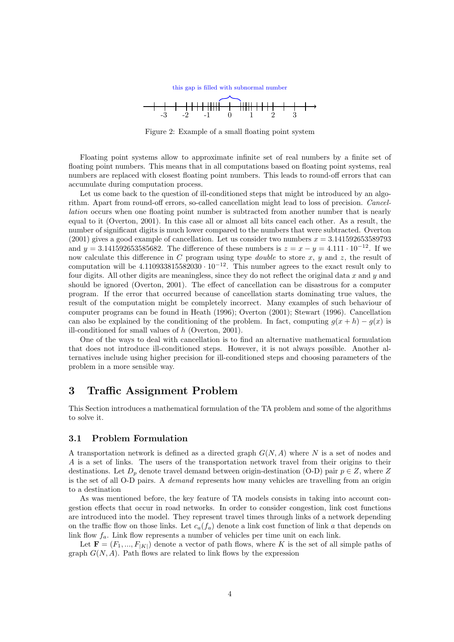

Figure 2: Example of a small floating point system

Floating point systems allow to approximate infinite set of real numbers by a finite set of floating point numbers. This means that in all computations based on floating point systems, real numbers are replaced with closest floating point numbers. This leads to round-off errors that can accumulate during computation process.

Let us come back to the question of ill-conditioned steps that might be introduced by an algorithm. Apart from round-off errors, so-called cancellation might lead to loss of precision. Cancellation occurs when one floating point number is subtracted from another number that is nearly equal to it (Overton, 2001). In this case all or almost all bits cancel each other. As a result, the number of significant digits is much lower compared to the numbers that were subtracted. Overton (2001) gives a good example of cancellation. Let us consider two numbers  $x = 3.141592653589793$ and  $y = 3.141592653585682$ . The difference of these numbers is  $z = x - y = 4.111 \cdot 10^{-12}$ . If we now calculate this difference in C program using type *double* to store  $x, y$  and  $z$ , the result of computation will be  $4.110933815582030 \cdot 10^{-12}$ . This number agrees to the exact result only to four digits. All other digits are meaningless, since they do not reflect the original data  $x$  and  $y$  and should be ignored (Overton, 2001). The effect of cancellation can be disastrous for a computer program. If the error that occurred because of cancellation starts dominating true values, the result of the computation might be completely incorrect. Many examples of such behaviour of computer programs can be found in Heath (1996); Overton (2001); Stewart (1996). Cancellation can also be explained by the conditioning of the problem. In fact, computing  $g(x+h) - g(x)$  is ill-conditioned for small values of h (Overton, 2001).

One of the ways to deal with cancellation is to find an alternative mathematical formulation that does not introduce ill-conditioned steps. However, it is not always possible. Another alternatives include using higher precision for ill-conditioned steps and choosing parameters of the problem in a more sensible way.

## 3 Traffic Assignment Problem

This Section introduces a mathematical formulation of the TA problem and some of the algorithms to solve it.

#### 3.1 Problem Formulation

A transportation network is defined as a directed graph  $G(N, A)$  where N is a set of nodes and A is a set of links. The users of the transportation network travel from their origins to their destinations. Let  $D_p$  denote travel demand between origin-destination (O-D) pair  $p \in Z$ , where Z is the set of all O-D pairs. A demand represents how many vehicles are travelling from an origin to a destination

As was mentioned before, the key feature of TA models consists in taking into account congestion effects that occur in road networks. In order to consider congestion, link cost functions are introduced into the model. They represent travel times through links of a network depending on the traffic flow on those links. Let  $c_a(f_a)$  denote a link cost function of link a that depends on link flow  $f_a$ . Link flow represents a number of vehicles per time unit on each link.

Let  $\mathbf{F} = (F_1, ..., F_{|K|})$  denote a vector of path flows, where K is the set of all simple paths of graph  $G(N, A)$ . Path flows are related to link flows by the expression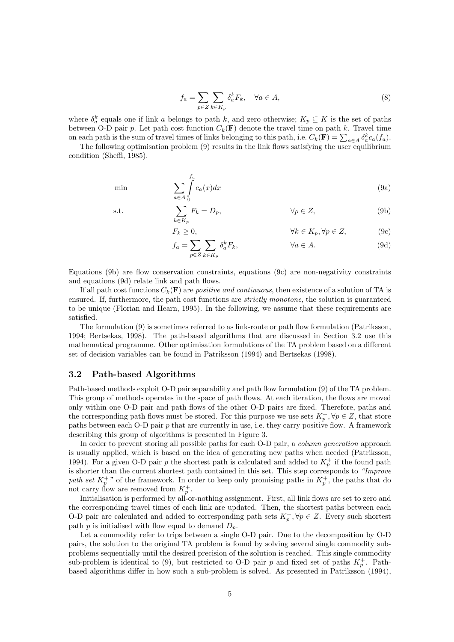$$
f_a = \sum_{p \in Z} \sum_{k \in K_p} \delta_a^k F_k, \quad \forall a \in A,
$$
\n(8)

where  $\delta_a^k$  equals one if link a belongs to path k, and zero otherwise;  $K_p \subseteq K$  is the set of paths between O-D pair p. Let path cost function  $C_k(\mathbf{F})$  denote the travel time on path k. Travel time on each path is the sum of travel times of links belonging to this path, i.e.  $C_k(\mathbf{F}) = \sum_{a \in A} \delta_a^k c_a(f_a)$ .

The following optimisation problem (9) results in the link flows satisfying the user equilibrium condition (Sheffi, 1985).

$$
\min \qquad \qquad \sum_{a \in A} \int_{0}^{f_a} c_a(x) dx \tag{9a}
$$

$$
\sum_{k \in K_p} F_k = D_p, \qquad \forall p \in Z,
$$
\n(9b)

$$
F_k \ge 0, \qquad \forall k \in K_p, \forall p \in Z, \qquad (9c)
$$

$$
f_a = \sum_{p \in Z} \sum_{k \in K_p} \delta_a^k F_k, \qquad \forall a \in A. \tag{9d}
$$

Equations (9b) are flow conservation constraints, equations (9c) are non-negativity constraints and equations (9d) relate link and path flows.

If all path cost functions  $C_k(\mathbf{F})$  are *positive and continuous*, then existence of a solution of TA is ensured. If, furthermore, the path cost functions are *strictly monotone*, the solution is guaranteed to be unique (Florian and Hearn, 1995). In the following, we assume that these requirements are satisfied.

The formulation (9) is sometimes referred to as link-route or path flow formulation (Patriksson, 1994; Bertsekas, 1998). The path-based algorithms that are discussed in Section 3.2 use this mathematical programme. Other optimisation formulations of the TA problem based on a different set of decision variables can be found in Patriksson (1994) and Bertsekas (1998).

#### 3.2 Path-based Algorithms

Path-based methods exploit O-D pair separability and path flow formulation (9) of the TA problem. This group of methods operates in the space of path flows. At each iteration, the flows are moved only within one O-D pair and path flows of the other O-D pairs are fixed. Therefore, paths and the corresponding path flows must be stored. For this purpose we use sets  $K_p^+$ ,  $\forall p \in \mathbb{Z}$ , that store paths between each O-D pair p that are currently in use, i.e. they carry positive flow. A framework describing this group of algorithms is presented in Figure 3.

In order to prevent storing all possible paths for each O-D pair, a *column generation* approach is usually applied, which is based on the idea of generating new paths when needed (Patriksson, 1994). For a given O-D pair p the shortest path is calculated and added to  $K_p^+$  if the found path is shorter than the current shortest path contained in this set. This step corresponds to "Improve path set  $K_p^+$ " of the framework. In order to keep only promising paths in  $K_p^+$ , the paths that do not carry flow are removed from  $K_p^+$ .

Initialisation is performed by all-or-nothing assignment. First, all link flows are set to zero and the corresponding travel times of each link are updated. Then, the shortest paths between each O-D pair are calculated and added to corresponding path sets  $K_p^+$ ,  $\forall p \in \mathbb{Z}$ . Every such shortest path  $p$  is initialised with flow equal to demand  $D_p$ .

Let a commodity refer to trips between a single O-D pair. Due to the decomposition by O-D pairs, the solution to the original TA problem is found by solving several single commodity subproblems sequentially until the desired precision of the solution is reached. This single commodity sub-problem is identical to (9), but restricted to O-D pair p and fixed set of paths  $K_p^+$ . Pathbased algorithms differ in how such a sub-problem is solved. As presented in Patriksson (1994),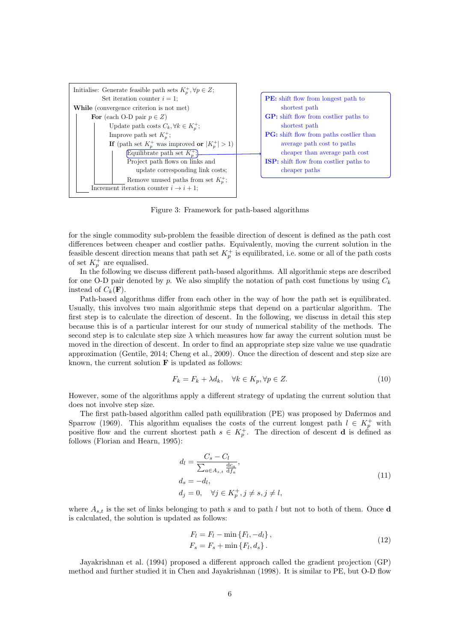

Figure 3: Framework for path-based algorithms

for the single commodity sub-problem the feasible direction of descent is defined as the path cost differences between cheaper and costlier paths. Equivalently, moving the current solution in the feasible descent direction means that path set  $K_p^+$  is equilibrated, i.e. some or all of the path costs of set  $K_p^+$  are equalised.

In the following we discuss different path-based algorithms. All algorithmic steps are described for one O-D pair denoted by p. We also simplify the notation of path cost functions by using  $C_k$ instead of  $C_k(\mathbf{F})$ .

Path-based algorithms differ from each other in the way of how the path set is equilibrated. Usually, this involves two main algorithmic steps that depend on a particular algorithm. The first step is to calculate the direction of descent. In the following, we discuss in detail this step because this is of a particular interest for our study of numerical stability of the methods. The second step is to calculate step size  $\lambda$  which measures how far away the current solution must be moved in the direction of descent. In order to find an appropriate step size value we use quadratic approximation (Gentile, 2014; Cheng et al., 2009). Once the direction of descent and step size are known, the current solution  $\bf{F}$  is updated as follows:

$$
F_k = F_k + \lambda d_k, \quad \forall k \in K_p, \forall p \in Z.
$$
\n
$$
(10)
$$

However, some of the algorithms apply a different strategy of updating the current solution that does not involve step size.

The first path-based algorithm called path equilibration (PE) was proposed by Dafermos and Sparrow (1969). This algorithm equalises the costs of the current longest path  $l \in K_p^+$  with positive flow and the current shortest path  $s \in K_p^+$ . The direction of descent **d** is defined as follows (Florian and Hearn, 1995):

$$
d_l = \frac{C_s - C_l}{\sum_{a \in A_{s,t}} \frac{dc_a}{df_a}},
$$
  
\n
$$
d_s = -d_l,
$$
  
\n
$$
d_j = 0, \quad \forall j \in K_p^+, j \neq s, j \neq l,
$$
\n(11)

where  $A_{s,t}$  is the set of links belonging to path s and to path l but not to both of them. Once d is calculated, the solution is updated as follows:

$$
F_l = F_l - \min\{F_l, -d_l\},
$$
  
\n
$$
F_s = F_s + \min\{F_l, d_s\}.
$$
\n(12)

Jayakrishnan et al. (1994) proposed a different approach called the gradient projection (GP) method and further studied it in Chen and Jayakrishnan (1998). It is similar to PE, but O-D flow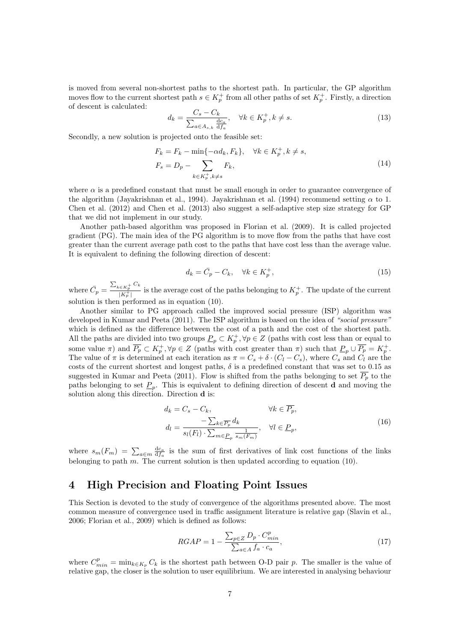is moved from several non-shortest paths to the shortest path. In particular, the GP algorithm moves flow to the current shortest path  $s \in K_p^+$  from all other paths of set  $K_p^+$ . Firstly, a direction of descent is calculated:

$$
d_k = \frac{C_s - C_k}{\sum_{a \in A_{s,k}} \frac{dc_a}{df_a}}, \quad \forall k \in K_p^+, k \neq s.
$$
 (13)

Secondly, a new solution is projected onto the feasible set:

$$
F_k = F_k - \min\{-\alpha d_k, F_k\}, \quad \forall k \in K_p^+, k \neq s,
$$
  

$$
F_s = D_p - \sum_{k \in K_p^+, k \neq s} F_k,
$$
 (14)

where  $\alpha$  is a predefined constant that must be small enough in order to guarantee convergence of the algorithm (Jayakrishnan et al., 1994). Jayakrishnan et al. (1994) recommend setting  $\alpha$  to 1. Chen et al. (2012) and Chen et al. (2013) also suggest a self-adaptive step size strategy for GP that we did not implement in our study.

Another path-based algorithm was proposed in Florian et al. (2009). It is called projected gradient (PG). The main idea of the PG algorithm is to move flow from the paths that have cost greater than the current average path cost to the paths that have cost less than the average value. It is equivalent to defining the following direction of descent:

$$
d_k = \bar{C}_p - C_k, \quad \forall k \in K_p^+, \tag{15}
$$

where  $\bar{C}_p = \frac{\sum_{k \in K_p^+} C_k}{|K^+|}$  $\frac{(\epsilon K_p^+)^{-\kappa}}{|K_p^+|}$  is the average cost of the paths belonging to  $K_p^+$ . The update of the current solution is then performed as in equation (10).

Another similar to PG approach called the improved social pressure (ISP) algorithm was developed in Kumar and Peeta (2011). The ISP algorithm is based on the idea of "social pressure" which is defined as the difference between the cost of a path and the cost of the shortest path. All the paths are divided into two groups  $\underline{P}_p \subset K_p^+$ ,  $\forall p \in Z$  (paths with cost less than or equal to some value  $\pi$ ) and  $\overline{P_p} \subset K_p^+$ ,  $\forall p \in Z$  (paths with cost greater than  $\pi$ ) such that  $\underline{P_p} \cup \overline{P_p} = K_p^+$ . The value of  $\pi$  is determined at each iteration as  $\pi = C_s + \delta \cdot (C_l - C_s)$ , where  $C_s$  and  $C_l$  are the costs of the current shortest and longest paths,  $\delta$  is a predefined constant that was set to 0.15 as suggested in Kumar and Peeta (2011). Flow is shifted from the paths belonging to set  $\overline{P_p}$  to the paths belonging to set  $\underline{P}_p$ . This is equivalent to defining direction of descent **d** and moving the solution along this direction. Direction d is:

$$
d_k = C_s - C_k, \qquad \forall k \in \overline{P_p},
$$
  
\n
$$
d_l = \frac{-\sum_{k \in \overline{P_p}} d_k}{s_l(F_l) \cdot \sum_{m \in \underline{P_p}} \frac{1}{s_m(F_m)}}, \quad \forall l \in \underline{P_p},
$$
\n(16)

where  $s_m(F_m) = \sum_{a \in m} \frac{dc_a}{df_a}$  is the sum of first derivatives of link cost functions of the links belonging to path m. The current solution is then updated according to equation  $(10)$ .

# 4 High Precision and Floating Point Issues

This Section is devoted to the study of convergence of the algorithms presented above. The most common measure of convergence used in traffic assignment literature is relative gap (Slavin et al., 2006; Florian et al., 2009) which is defined as follows:

$$
RGAP = 1 - \frac{\sum_{p \in Z} D_p \cdot C_{min}^p}{\sum_{a \in A} f_a \cdot c_a},\tag{17}
$$

where  $C_{min}^p = \min_{k \in K_p} C_k$  is the shortest path between O-D pair p. The smaller is the value of relative gap, the closer is the solution to user equilibrium. We are interested in analysing behaviour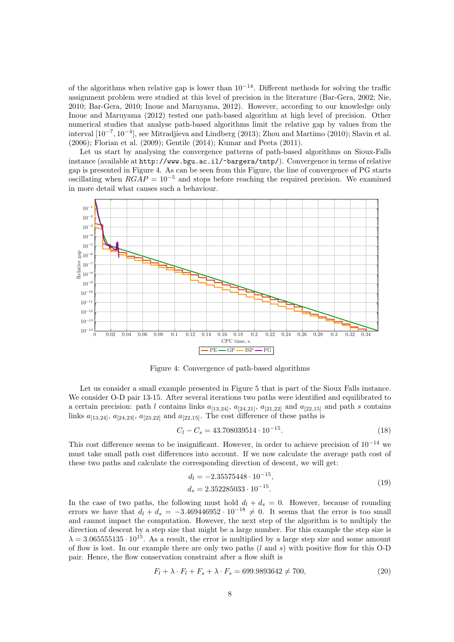of the algorithms when relative gap is lower than  $10^{-14}$ . Different methods for solving the traffic assignment problem were studied at this level of precision in the literature (Bar-Gera, 2002; Nie, 2010; Bar-Gera, 2010; Inoue and Maruyama, 2012). However, according to our knowledge only Inoue and Maruyama (2012) tested one path-based algorithm at high level of precision. Other numerical studies that analyse path-based algorithms limit the relative gap by values from the interval [10−<sup>7</sup> , 10−<sup>4</sup> ], see Mitradjieva and Lindberg (2013); Zhou and Martimo (2010); Slavin et al. (2006); Florian et al. (2009); Gentile (2014); Kumar and Peeta (2011).

Let us start by analysing the convergence patterns of path-based algorithms on Sioux-Falls instance (available at http://www.bgu.ac.il/~bargera/tntp/). Convergence in terms of relative gap is presented in Figure 4. As can be seen from this Figure, the line of convergence of PG starts oscillating when  $RGAP = 10^{-5}$  and stops before reaching the required precision. We examined in more detail what causes such a behaviour.



Figure 4: Convergence of path-based algorithms

Let us consider a small example presented in Figure 5 that is part of the Sioux Falls instance. We consider O-D pair 13-15. After several iterations two paths were identified and equilibrated to a certain precision: path l contains links  $a_{[13,24]}$ ,  $a_{[24,21]}$ ,  $a_{[21,22]}$  and  $a_{[22,15]}$  and path s contains links  $a_{[13,24]}, a_{[24,23]}, a_{[23,22]}$  and  $a_{[22,15]}$ . The cost difference of these paths is

$$
C_l - C_s = 43.708039514 \cdot 10^{-15}.
$$
\n(18)

This cost difference seems to be insignificant. However, in order to achieve precision of  $10^{-14}$  we must take small path cost differences into account. If we now calculate the average path cost of these two paths and calculate the corresponding direction of descent, we will get:

$$
d_l = -2.35575448 \cdot 10^{-15},
$$
  
\n
$$
d_s = 2.352285033 \cdot 10^{-15}.
$$
\n(19)

In the case of two paths, the following must hold  $d_l + d_s = 0$ . However, because of rounding errors we have that  $d_l + d_s = -3.469446952 \cdot 10^{-18} \neq 0$ . It seems that the error is too small and cannot impact the computation. However, the next step of the algorithm is to multiply the direction of descent by a step size that might be a large number. For this example the step size is  $\lambda = 3.065555135 \cdot 10^{15}$ . As a result, the error is multiplied by a large step size and some amount of flow is lost. In our example there are only two paths  $(l \text{ and } s)$  with positive flow for this O-D pair. Hence, the flow conservation constraint after a flow shift is

$$
F_l + \lambda \cdot F_l + F_s + \lambda \cdot F_s = 699.9893642 \neq 700,
$$
\n(20)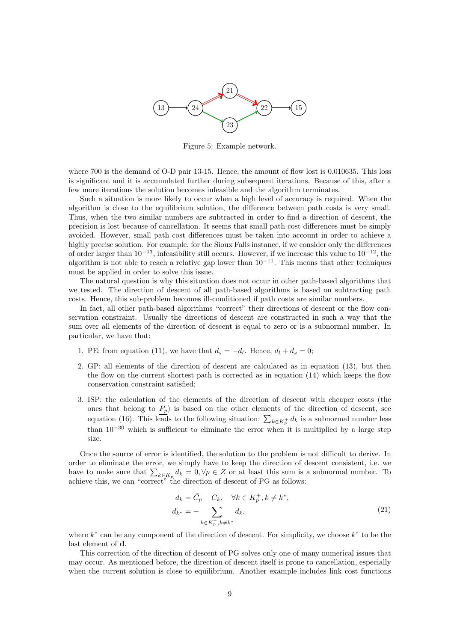

Figure 5: Example network.

where 700 is the demand of O-D pair 13-15. Hence, the amount of flow lost is 0.010635. This loss is significant and it is accumulated further during subsequent iterations. Because of this, after a few more iterations the solution becomes infeasible and the algorithm terminates.

Such a situation is more likely to occur when a high level of accuracy is required. When the algorithm is close to the equilibrium solution, the difference between path costs is very small. Thus, when the two similar numbers are subtracted in order to find a direction of descent, the precision is lost because of cancellation. It seems that small path cost differences must be simply avoided. However, small path cost differences must be taken into account in order to achieve a highly precise solution. For example, for the Sioux Falls instance, if we consider only the differences of order larger than  $10^{-13}$ , infeasibility still occurs. However, if we increase this value to  $10^{-12}$ , the algorithm is not able to reach a relative gap lower than  $10^{-11}$ . This means that other techniques must be applied in order to solve this issue.

The natural question is why this situation does not occur in other path-based algorithms that we tested. The direction of descent of all path-based algorithms is based on subtracting path costs. Hence, this sub-problem becomes ill-conditioned if path costs are similar numbers.

In fact, all other path-based algorithms "correct" their directions of descent or the flow conservation constraint. Usually the directions of descent are constructed in such a way that the sum over all elements of the direction of descent is equal to zero or is a subnormal number. In particular, we have that:

- 1. PE: from equation (11), we have that  $d_s = -d_l$ . Hence,  $d_l + d_s = 0$ ;
- 2. GP: all elements of the direction of descent are calculated as in equation (13), but then the flow on the current shortest path is corrected as in equation (14) which keeps the flow conservation constraint satisfied;
- 3. ISP: the calculation of the elements of the direction of descent with cheaper costs (the ones that belong to  $P_p$ ) is based on the other elements of the direction of descent, see equation (16). This leads to the following situation:  $\sum_{k \in K_p^+} d_k$  is a subnormal number less than  $10^{-30}$  which is sufficient to eliminate the error when it is multiplied by a large step size.

Once the source of error is identified, the solution to the problem is not difficult to derive. In order to eliminate the error, we simply have to keep the direction of descent consistent, i.e. we have to make sure that  $\sum_{k \in K_p} d_k = 0, \forall p \in \mathbb{Z}$  or at least this sum is a subnormal number. To achieve this, we can "correct" the direction of descent of PG as follows:

$$
d_k = \bar{C}_p - C_k, \quad \forall k \in K_p^+, k \neq k^*,
$$
  
\n
$$
d_{k^*} = - \sum_{k \in K_p^+, k \neq k^*} d_k,
$$
\n(21)

where  $k^*$  can be any component of the direction of descent. For simplicity, we choose  $k^*$  to be the last element of d.

This correction of the direction of descent of PG solves only one of many numerical issues that may occur. As mentioned before, the direction of descent itself is prone to cancellation, especially when the current solution is close to equilibrium. Another example includes link cost functions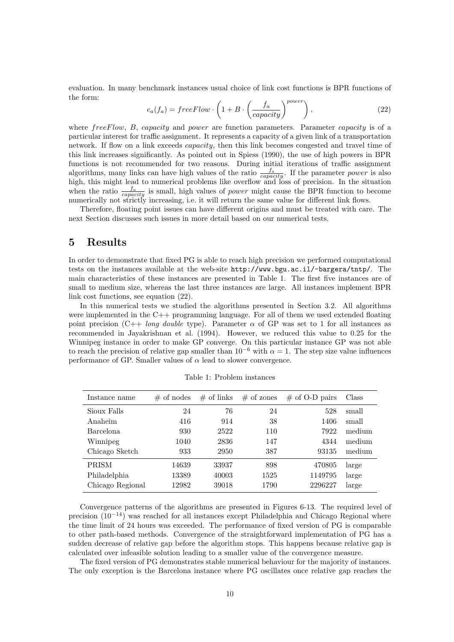evaluation. In many benchmark instances usual choice of link cost functions is BPR functions of the form:

$$
c_a(f_a) = freeFlow \cdot \left(1 + B \cdot \left(\frac{f_a}{capacity}\right)^{power}\right),\tag{22}
$$

where free Flow, B, capacity and power are function parameters. Parameter capacity is of a particular interest for traffic assignment. It represents a capacity of a given link of a transportation network. If flow on a link exceeds capacity, then this link becomes congested and travel time of this link increases significantly. As pointed out in Spiess (1990), the use of high powers in BPR functions is not recommended for two reasons. During initial iterations of traffic assignment algorithms, many links can have high values of the ratio  $\frac{f_a}{capacity}$ . If the parameter *power* is also high, this might lead to numerical problems like overflow and loss of precision. In the situation when the ratio  $\frac{f_a}{capacity}$  is small, high values of *power* might cause the BPR function to become numerically not strictly increasing, i.e. it will return the same value for different link flows.

Therefore, floating point issues can have different origins and must be treated with care. The next Section discusses such issues in more detail based on our numerical tests.

## 5 Results

In order to demonstrate that fixed PG is able to reach high precision we performed computational tests on the instances available at the web-site http://www.bgu.ac.il/~bargera/tntp/. The main characteristics of these instances are presented in Table 1. The first five instances are of small to medium size, whereas the last three instances are large. All instances implement BPR link cost functions, see equation (22).

In this numerical tests we studied the algorithms presented in Section 3.2. All algorithms were implemented in the  $C++$  programming language. For all of them we used extended floating point precision (C++ long double type). Parameter  $\alpha$  of GP was set to 1 for all instances as recommended in Jayakrishnan et al. (1994). However, we reduced this value to 0.25 for the Winnipeg instance in order to make GP converge. On this particular instance GP was not able to reach the precision of relative gap smaller than  $10^{-6}$  with  $\alpha = 1$ . The step size value influences performance of GP. Smaller values of  $\alpha$  lead to slower convergence.

| Instance name    | $\#$ of nodes | $\#$ of links | $#$ of zones | $\#$ of O-D pairs | Class  |
|------------------|---------------|---------------|--------------|-------------------|--------|
| Sioux Falls      | 24            | 76            | 24           | 528               | small  |
| Anaheim          | 416           | 914           | 38           | 1406              | small  |
| Barcelona        | 930           | 2522          | 110          | 7922              | medium |
| Winnipeg         | 1040          | 2836          | 147          | 4344              | medium |
| Chicago Sketch   | 933           | 2950          | 387          | 93135             | medium |
| <b>PRISM</b>     | 14639         | 33937         | 898          | 470805            | large  |
| Philadelphia     | 13389         | 40003         | 1525         | 1149795           | large  |
| Chicago Regional | 12982         | 39018         | 1790         | 2296227           | large  |

Table 1: Problem instances

Convergence patterns of the algorithms are presented in Figures 6-13. The required level of precision (10<sup>−</sup><sup>14</sup>) was reached for all instances except Philadelphia and Chicago Regional where the time limit of 24 hours was exceeded. The performance of fixed version of PG is comparable to other path-based methods. Convergence of the straightforward implementation of PG has a sudden decrease of relative gap before the algorithm stops. This happens because relative gap is calculated over infeasible solution leading to a smaller value of the convergence measure.

The fixed version of PG demonstrates stable numerical behaviour for the majority of instances. The only exception is the Barcelona instance where PG oscillates once relative gap reaches the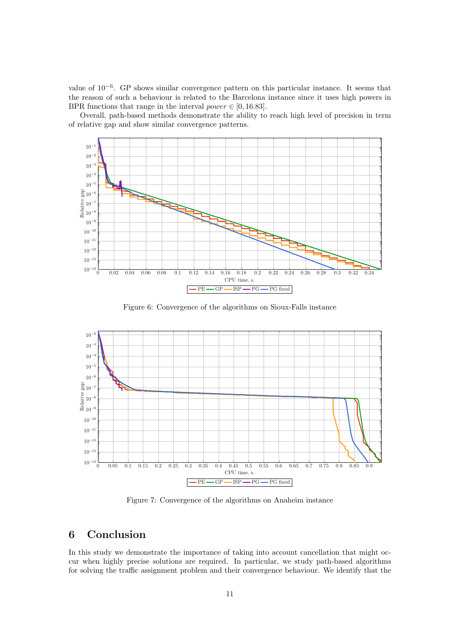value of 10−<sup>6</sup> . GP shows similar convergence pattern on this particular instance. It seems that the reason of such a behaviour is related to the Barcelona instance since it uses high powers in BPR functions that range in the interval power  $\in [0, 16.83]$ .

Overall, path-based methods demonstrate the ability to reach high level of precision in term of relative gap and show similar convergence patterns.



Figure 6: Convergence of the algorithms on Sioux-Falls instance



Figure 7: Convergence of the algorithms on Anaheim instance

# 6 Conclusion

In this study we demonstrate the importance of taking into account cancellation that might occur when highly precise solutions are required. In particular, we study path-based algorithms for solving the traffic assignment problem and their convergence behaviour. We identify that the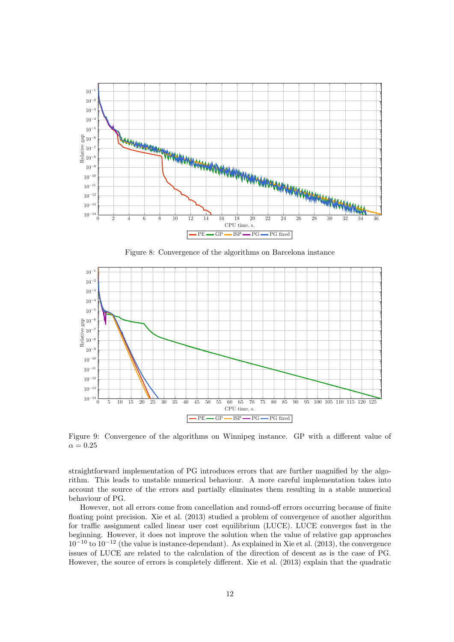

Figure 8: Convergence of the algorithms on Barcelona instance



Figure 9: Convergence of the algorithms on Winnipeg instance. GP with a different value of  $\alpha = 0.25$ 

straightforward implementation of PG introduces errors that are further magnified by the algorithm. This leads to unstable numerical behaviour. A more careful implementation takes into account the source of the errors and partially eliminates them resulting in a stable numerical behaviour of PG.

However, not all errors come from cancellation and round-off errors occurring because of finite floating point precision. Xie et al. (2013) studied a problem of convergence of another algorithm for traffic assignment called linear user cost equilibrium (LUCE). LUCE converges fast in the beginning. However, it does not improve the solution when the value of relative gap approaches  $10^{-10}$  to  $10^{-12}$  (the value is instance-dependant). As explained in Xie et al. (2013), the convergence issues of LUCE are related to the calculation of the direction of descent as is the case of PG. However, the source of errors is completely different. Xie et al. (2013) explain that the quadratic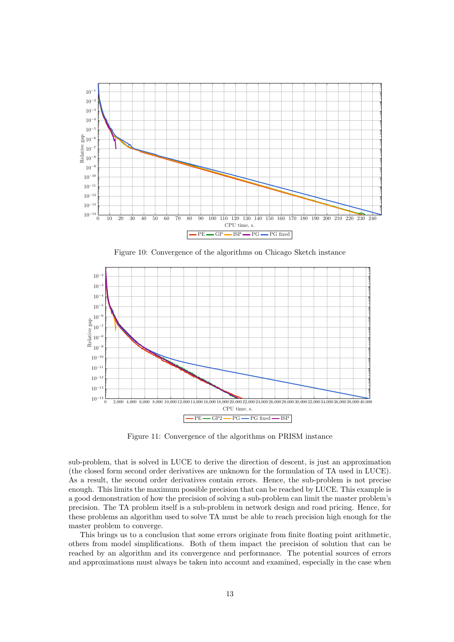

Figure 10: Convergence of the algorithms on Chicago Sketch instance



Figure 11: Convergence of the algorithms on PRISM instance

sub-problem, that is solved in LUCE to derive the direction of descent, is just an approximation (the closed form second order derivatives are unknown for the formulation of TA used in LUCE). As a result, the second order derivatives contain errors. Hence, the sub-problem is not precise enough. This limits the maximum possible precision that can be reached by LUCE. This example is a good demonstration of how the precision of solving a sub-problem can limit the master problem's precision. The TA problem itself is a sub-problem in network design and road pricing. Hence, for these problems an algorithm used to solve TA must be able to reach precision high enough for the master problem to converge.

This brings us to a conclusion that some errors originate from finite floating point arithmetic, others from model simplifications. Both of them impact the precision of solution that can be reached by an algorithm and its convergence and performance. The potential sources of errors and approximations must always be taken into account and examined, especially in the case when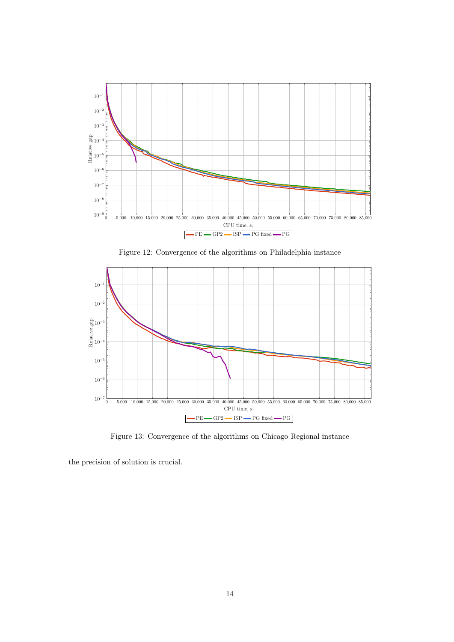

Figure 12: Convergence of the algorithms on Philadelphia instance



Figure 13: Convergence of the algorithms on Chicago Regional instance

the precision of solution is crucial.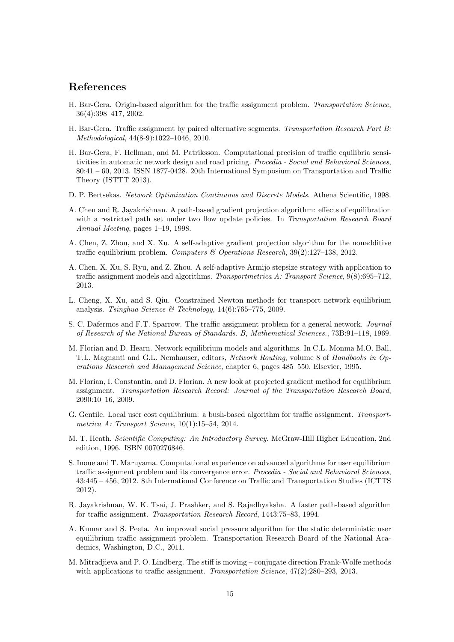## References

- H. Bar-Gera. Origin-based algorithm for the traffic assignment problem. Transportation Science, 36(4):398–417, 2002.
- H. Bar-Gera. Traffic assignment by paired alternative segments. Transportation Research Part B: Methodological, 44(8-9):1022–1046, 2010.
- H. Bar-Gera, F. Hellman, and M. Patriksson. Computational precision of traffic equilibria sensitivities in automatic network design and road pricing. Procedia - Social and Behavioral Sciences, 80:41 – 60, 2013. ISSN 1877-0428. 20th International Symposium on Transportation and Traffic Theory (ISTTT 2013).
- D. P. Bertsekas. Network Optimization Continuous and Discrete Models. Athena Scientific, 1998.
- A. Chen and R. Jayakrishnan. A path-based gradient projection algorithm: effects of equilibration with a restricted path set under two flow update policies. In Transportation Research Board Annual Meeting, pages 1–19, 1998.
- A. Chen, Z. Zhou, and X. Xu. A self-adaptive gradient projection algorithm for the nonadditive traffic equilibrium problem. Computers & Operations Research, 39(2):127–138, 2012.
- A. Chen, X. Xu, S. Ryu, and Z. Zhou. A self-adaptive Armijo stepsize strategy with application to traffic assignment models and algorithms. Transportmetrica A: Transport Science, 9(8):695–712, 2013.
- L. Cheng, X. Xu, and S. Qiu. Constrained Newton methods for transport network equilibrium analysis. Tsinghua Science & Technology,  $14(6)$ :765–775, 2009.
- S. C. Dafermos and F.T. Sparrow. The traffic assignment problem for a general network. Journal of Research of the National Bureau of Standards. B, Mathematical Sciences., 73B:91–118, 1969.
- M. Florian and D. Hearn. Network equilibrium models and algorithms. In C.L. Monma M.O. Ball, T.L. Magnanti and G.L. Nemhauser, editors, Network Routing, volume 8 of Handbooks in Operations Research and Management Science, chapter 6, pages 485–550. Elsevier, 1995.
- M. Florian, I. Constantin, and D. Florian. A new look at projected gradient method for equilibrium assignment. Transportation Research Record: Journal of the Transportation Research Board, 2090:10–16, 2009.
- G. Gentile. Local user cost equilibrium: a bush-based algorithm for traffic assignment. Transportmetrica A: Transport Science, 10(1):15–54, 2014.
- M. T. Heath. Scientific Computing: An Introductory Survey. McGraw-Hill Higher Education, 2nd edition, 1996. ISBN 0070276846.
- S. Inoue and T. Maruyama. Computational experience on advanced algorithms for user equilibrium traffic assignment problem and its convergence error. Procedia - Social and Behavioral Sciences, 43:445 – 456, 2012. 8th International Conference on Traffic and Transportation Studies (ICTTS 2012).
- R. Jayakrishnan, W. K. Tsai, J. Prashker, and S. Rajadhyaksha. A faster path-based algorithm for traffic assignment. Transportation Research Record, 1443:75–83, 1994.
- A. Kumar and S. Peeta. An improved social pressure algorithm for the static deterministic user equilibrium traffic assignment problem. Transportation Research Board of the National Academics, Washington, D.C., 2011.
- M. Mitradjieva and P. O. Lindberg. The stiff is moving conjugate direction Frank-Wolfe methods with applications to traffic assignment. Transportation Science,  $47(2):280-293, 2013$ .